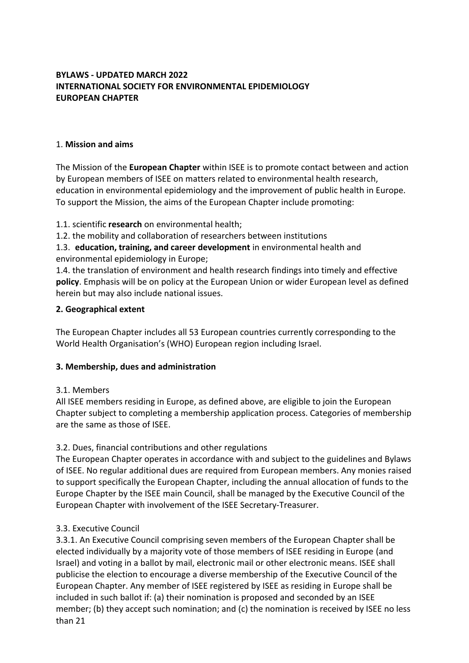# **BYLAWS - UPDATED MARCH 2022 INTERNATIONAL SOCIETY FOR ENVIRONMENTAL EPIDEMIOLOGY EUROPEAN CHAPTER**

#### 1. **Mission and aims**

The Mission of the **European Chapter** within ISEE is to promote contact between and action by European members of ISEE on matters related to environmental health research, education in environmental epidemiology and the improvement of public health in Europe. To support the Mission, the aims of the European Chapter include promoting:

1.1. scientific **research** on environmental health;

1.2. the mobility and collaboration of researchers between institutions

1.3. **education, training, and career development** in environmental health and environmental epidemiology in Europe;

1.4. the translation of environment and health research findings into timely and effective **policy**. Emphasis will be on policy at the European Union or wider European level as defined herein but may also include national issues.

#### **2. Geographical extent**

The European Chapter includes all 53 European countries currently corresponding to the World Health Organisation's (WHO) European region including Israel.

# **3. Membership, dues and administration**

# 3.1. Members

All ISEE members residing in Europe, as defined above, are eligible to join the European Chapter subject to completing a membership application process. Categories of membership are the same as those of ISEE.

# 3.2. Dues, financial contributions and other regulations

The European Chapter operates in accordance with and subject to the guidelines and Bylaws of ISEE. No regular additional dues are required from European members. Any monies raised to support specifically the European Chapter, including the annual allocation of funds to the Europe Chapter by the ISEE main Council, shall be managed by the Executive Council of the European Chapter with involvement of the ISEE Secretary-Treasurer.

#### 3.3. Executive Council

3.3.1. An Executive Council comprising seven members of the European Chapter shall be elected individually by a majority vote of those members of ISEE residing in Europe (and Israel) and voting in a ballot by mail, electronic mail or other electronic means. ISEE shall publicise the election to encourage a diverse membership of the Executive Council of the European Chapter. Any member of ISEE registered by ISEE as residing in Europe shall be included in such ballot if: (a) their nomination is proposed and seconded by an ISEE member; (b) they accept such nomination; and (c) the nomination is received by ISEE no less than 21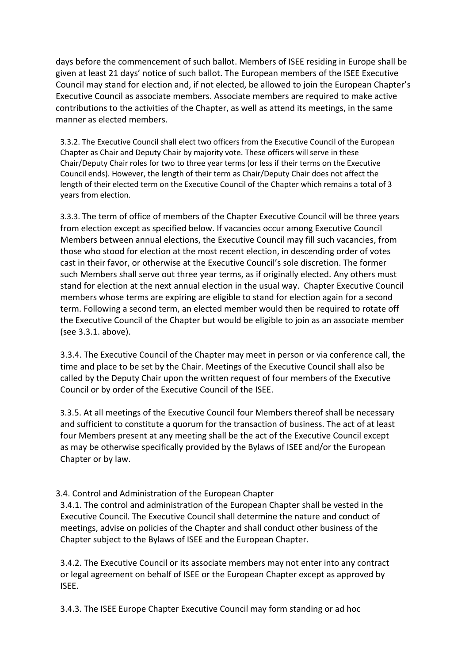days before the commencement of such ballot. Members of ISEE residing in Europe shall be given at least 21 days' notice of such ballot. The European members of the ISEE Executive Council may stand for election and, if not elected, be allowed to join the European Chapter's Executive Council as associate members. Associate members are required to make active contributions to the activities of the Chapter, as well as attend its meetings, in the same manner as elected members.

3.3.2. The Executive Council shall elect two officers from the Executive Council of the European Chapter as Chair and Deputy Chair by majority vote. These officers will serve in these Chair/Deputy Chair roles for two to three year terms (or less if their terms on the Executive Council ends). However, the length of their term as Chair/Deputy Chair does not affect the length of their elected term on the Executive Council of the Chapter which remains a total of 3 years from election.

3.3.3. The term of office of members of the Chapter Executive Council will be three years from election except as specified below. If vacancies occur among Executive Council Members between annual elections, the Executive Council may fill such vacancies, from those who stood for election at the most recent election, in descending order of votes cast in their favor, or otherwise at the Executive Council's sole discretion. The former such Members shall serve out three year terms, as if originally elected. Any others must stand for election at the next annual election in the usual way. Chapter Executive Council members whose terms are expiring are eligible to stand for election again for a second term. Following a second term, an elected member would then be required to rotate off the Executive Council of the Chapter but would be eligible to join as an associate member (see 3.3.1. above).

3.3.4. The Executive Council of the Chapter may meet in person or via conference call, the time and place to be set by the Chair. Meetings of the Executive Council shall also be called by the Deputy Chair upon the written request of four members of the Executive Council or by order of the Executive Council of the ISEE.

3.3.5. At all meetings of the Executive Council four Members thereof shall be necessary and sufficient to constitute a quorum for the transaction of business. The act of at least four Members present at any meeting shall be the act of the Executive Council except as may be otherwise specifically provided by the Bylaws of ISEE and/or the European Chapter or by law.

# 3.4. Control and Administration of the European Chapter

3.4.1. The control and administration of the European Chapter shall be vested in the Executive Council. The Executive Council shall determine the nature and conduct of meetings, advise on policies of the Chapter and shall conduct other business of the Chapter subject to the Bylaws of ISEE and the European Chapter.

3.4.2. The Executive Council or its associate members may not enter into any contract or legal agreement on behalf of ISEE or the European Chapter except as approved by ISEE.

3.4.3. The ISEE Europe Chapter Executive Council may form standing or ad hoc